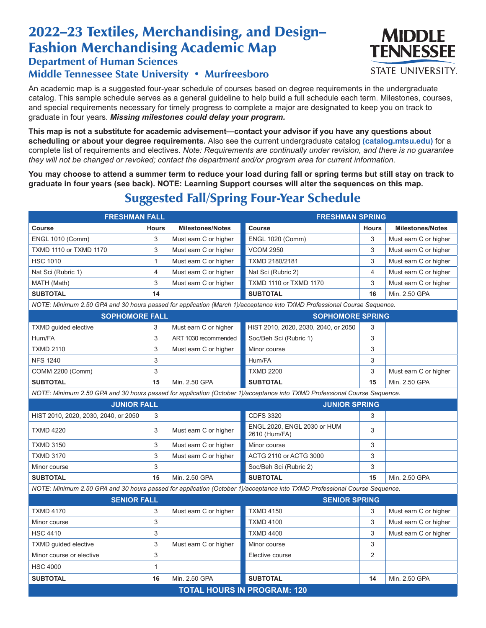# 2022–23 Textiles, Merchandising, and Design– Fashion Merchandising Academic Map

### Department of Human Sciences

#### Middle Tennessee State University • Murfreesboro

An academic map is a suggested four-year schedule of courses based on degree requirements in the undergraduate catalog. This sample schedule serves as a general guideline to help build a full schedule each term. Milestones, courses, and special requirements necessary for timely progress to complete a major are designated to keep you on track to graduate in four years. *Missing milestones could delay your program.*

**This map is not a substitute for academic advisement—contact your advisor if you have any questions about scheduling or about your degree requirements.** Also see the current undergraduate catalog **(catalog.mtsu.edu)** for a complete list of requirements and electives. *Note: Requirements are continually under revision, and there is no guarantee they will not be changed or revoked; contact the department and/or program area for current information.*

**You may choose to attend a summer term to reduce your load during fall or spring terms but still stay on track to graduate in four years (see back). NOTE: Learning Support courses will alter the sequences on this map.**

# Suggested Fall/Spring Four-Year Schedule

| <b>FRESHMAN FALL</b>                                                                                                      |              | <b>FRESHMAN SPRING</b>  |                                              |                |                         |  |  |  |
|---------------------------------------------------------------------------------------------------------------------------|--------------|-------------------------|----------------------------------------------|----------------|-------------------------|--|--|--|
| Course                                                                                                                    | <b>Hours</b> | <b>Milestones/Notes</b> | <b>Course</b>                                | <b>Hours</b>   | <b>Milestones/Notes</b> |  |  |  |
| <b>ENGL 1010 (Comm)</b>                                                                                                   | 3            | Must earn C or higher   | <b>ENGL 1020 (Comm)</b>                      | 3              | Must earn C or higher   |  |  |  |
| <b>TXMD 1110 or TXMD 1170</b>                                                                                             | 3            | Must earn C or higher   | <b>VCOM 2950</b>                             | 3              | Must earn C or higher   |  |  |  |
| <b>HSC 1010</b>                                                                                                           | 1            | Must earn C or higher   | TXMD 2180/2181                               | 3              | Must earn C or higher   |  |  |  |
| Nat Sci (Rubric 1)                                                                                                        | 4            | Must earn C or higher   | Nat Sci (Rubric 2)                           | 4              | Must earn C or higher   |  |  |  |
| MATH (Math)                                                                                                               | 3            | Must earn C or higher   | TXMD 1110 or TXMD 1170                       | 3              | Must earn C or higher   |  |  |  |
| <b>SUBTOTAL</b>                                                                                                           | 14           |                         | <b>SUBTOTAL</b>                              | 16             | Min. 2.50 GPA           |  |  |  |
| NOTE: Minimum 2.50 GPA and 30 hours passed for application (March 1)/acceptance into TXMD Professional Course Sequence.   |              |                         |                                              |                |                         |  |  |  |
| <b>SOPHOMORE FALL</b>                                                                                                     |              |                         | <b>SOPHOMORE SPRING</b>                      |                |                         |  |  |  |
| <b>TXMD</b> guided elective                                                                                               | 3            | Must earn C or higher   | HIST 2010, 2020, 2030, 2040, or 2050         | 3              |                         |  |  |  |
| Hum/FA                                                                                                                    | 3            | ART 1030 recommended    | Soc/Beh Sci (Rubric 1)                       | 3              |                         |  |  |  |
| <b>TXMD 2110</b>                                                                                                          | 3            | Must earn C or higher   | Minor course                                 | 3              |                         |  |  |  |
| <b>NFS 1240</b>                                                                                                           | 3            |                         | Hum/FA                                       | 3              |                         |  |  |  |
| COMM 2200 (Comm)                                                                                                          | 3            |                         | <b>TXMD 2200</b>                             | 3              | Must earn C or higher   |  |  |  |
| <b>SUBTOTAL</b>                                                                                                           | 15           | Min. 2.50 GPA           | <b>SUBTOTAL</b>                              | 15             | Min. 2.50 GPA           |  |  |  |
| NOTE: Minimum 2.50 GPA and 30 hours passed for application (October 1)/acceptance into TXMD Professional Course Sequence. |              |                         |                                              |                |                         |  |  |  |
| <b>JUNIOR FALL</b>                                                                                                        |              |                         | <b>JUNIOR SPRING</b>                         |                |                         |  |  |  |
| HIST 2010, 2020, 2030, 2040, or 2050                                                                                      | 3            |                         | <b>CDFS 3320</b>                             | 3              |                         |  |  |  |
| <b>TXMD 4220</b>                                                                                                          | 3            | Must earn C or higher   | ENGL 2020, ENGL 2030 or HUM<br>2610 (Hum/FA) | 3              |                         |  |  |  |
| <b>TXMD 3150</b>                                                                                                          | 3            | Must earn C or higher   | Minor course                                 | 3              |                         |  |  |  |
| <b>TXMD 3170</b>                                                                                                          | 3            | Must earn C or higher   | ACTG 2110 or ACTG 3000                       | 3              |                         |  |  |  |
| Minor course                                                                                                              | 3            |                         | Soc/Beh Sci (Rubric 2)                       | 3              |                         |  |  |  |
| <b>SUBTOTAL</b>                                                                                                           | 15           | Min. 2.50 GPA           | <b>SUBTOTAL</b>                              | 15             | Min. 2.50 GPA           |  |  |  |
| NOTE: Minimum 2.50 GPA and 30 hours passed for application (October 1)/acceptance into TXMD Professional Course Sequence. |              |                         |                                              |                |                         |  |  |  |
| <b>SENIOR FALL</b>                                                                                                        |              | <b>SENIOR SPRING</b>    |                                              |                |                         |  |  |  |
| <b>TXMD 4170</b>                                                                                                          | 3            | Must earn C or higher   | <b>TXMD 4150</b>                             | 3              | Must earn C or higher   |  |  |  |
| Minor course                                                                                                              | 3            |                         | <b>TXMD 4100</b>                             | 3              | Must earn C or higher   |  |  |  |
| <b>HSC 4410</b>                                                                                                           | 3            |                         | <b>TXMD 4400</b>                             | 3              | Must earn C or higher   |  |  |  |
| <b>TXMD</b> quided elective                                                                                               | 3            | Must earn C or higher   | Minor course                                 | 3              |                         |  |  |  |
| Minor course or elective                                                                                                  | 3            |                         | Elective course                              | $\overline{2}$ |                         |  |  |  |
| <b>HSC 4000</b>                                                                                                           | 1            |                         |                                              |                |                         |  |  |  |
| <b>SUBTOTAL</b>                                                                                                           | 16           | Min. 2.50 GPA           | <b>SUBTOTAL</b>                              | 14             | Min. 2.50 GPA           |  |  |  |
| <b>TOTAL HOURS IN PROGRAM: 120</b>                                                                                        |              |                         |                                              |                |                         |  |  |  |